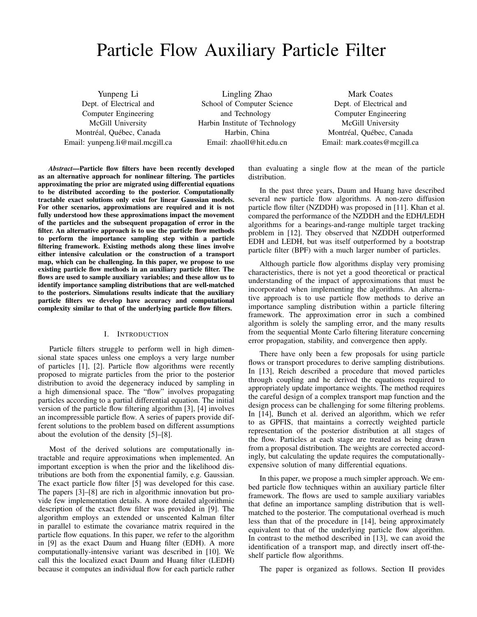# Particle Flow Auxiliary Particle Filter

Yunpeng Li Dept. of Electrical and Computer Engineering McGill University Montréal, Québec, Canada Email: yunpeng.li@mail.mcgill.ca

Lingling Zhao School of Computer Science and Technology Harbin Institute of Technology Harbin, China Email: zhaoll@hit.edu.cn

Mark Coates Dept. of Electrical and Computer Engineering McGill University Montréal, Québec, Canada Email: mark.coates@mcgill.ca

*Abstract*—Particle flow filters have been recently developed as an alternative approach for nonlinear filtering. The particles approximating the prior are migrated using differential equations to be distributed according to the posterior. Computationally tractable exact solutions only exist for linear Gaussian models. For other scenarios, approximations are required and it is not fully understood how these approximations impact the movement of the particles and the subsequent propagation of error in the filter. An alternative approach is to use the particle flow methods to perform the importance sampling step within a particle filtering framework. Existing methods along these lines involve either intensive calculation or the construction of a transport map, which can be challenging. In this paper, we propose to use existing particle flow methods in an auxiliary particle filter. The flows are used to sample auxiliary variables; and these allow us to identify importance sampling distributions that are well-matched to the posteriors. Simulations results indicate that the auxiliary particle filters we develop have accuracy and computational complexity similar to that of the underlying particle flow filters.

## I. INTRODUCTION

Particle filters struggle to perform well in high dimensional state spaces unless one employs a very large number of particles [1], [2]. Particle flow algorithms were recently proposed to migrate particles from the prior to the posterior distribution to avoid the degeneracy induced by sampling in a high dimensional space. The "flow" involves propagating particles according to a partial differential equation. The initial version of the particle flow filtering algorithm [3], [4] involves an incompressible particle flow. A series of papers provide different solutions to the problem based on different assumptions about the evolution of the density [5]–[8].

Most of the derived solutions are computationally intractable and require approximations when implemented. An important exception is when the prior and the likelihood distributions are both from the exponential family, e.g. Gaussian. The exact particle flow filter [5] was developed for this case. The papers [3]–[8] are rich in algorithmic innovation but provide few implementation details. A more detailed algorithmic description of the exact flow filter was provided in [9]. The algorithm employs an extended or unscented Kalman filter in parallel to estimate the covariance matrix required in the particle flow equations. In this paper, we refer to the algorithm in [9] as the exact Daum and Huang filter (EDH). A more computationally-intensive variant was described in [10]. We call this the localized exact Daum and Huang filter (LEDH) because it computes an individual flow for each particle rather than evaluating a single flow at the mean of the particle distribution.

In the past three years, Daum and Huang have described several new particle flow algorithms. A non-zero diffusion particle flow filter (NZDDH) was proposed in [11]. Khan et al. compared the performance of the NZDDH and the EDH/LEDH algorithms for a bearings-and-range multiple target tracking problem in [12]. They observed that NZDDH outperformed EDH and LEDH, but was itself outperformed by a bootstrap particle filter (BPF) with a much larger number of particles.

Although particle flow algorithms display very promising characteristics, there is not yet a good theoretical or practical understanding of the impact of approximations that must be incorporated when implementing the algorithms. An alternative approach is to use particle flow methods to derive an importance sampling distribution within a particle filtering framework. The approximation error in such a combined algorithm is solely the sampling error, and the many results from the sequential Monte Carlo filtering literature concerning error propagation, stability, and convergence then apply.

There have only been a few proposals for using particle flows or transport procedures to derive sampling distributions. In [13], Reich described a procedure that moved particles through coupling and he derived the equations required to appropriately update importance weights. The method requires the careful design of a complex transport map function and the design process can be challenging for some filtering problems. In [14], Bunch et al. derived an algorithm, which we refer to as GPFIS, that maintains a correctly weighted particle representation of the posterior distribution at all stages of the flow. Particles at each stage are treated as being drawn from a proposal distribution. The weights are corrected accordingly, but calculating the update requires the computationallyexpensive solution of many differential equations.

In this paper, we propose a much simpler approach. We embed particle flow techniques within an auxiliary particle filter framework. The flows are used to sample auxiliary variables that define an importance sampling distribution that is wellmatched to the posterior. The computational overhead is much less than that of the procedure in [14], being approximately equivalent to that of the underlying particle flow algorithm. In contrast to the method described in [13], we can avoid the identification of a transport map, and directly insert off-theshelf particle flow algorithms.

The paper is organized as follows. Section II provides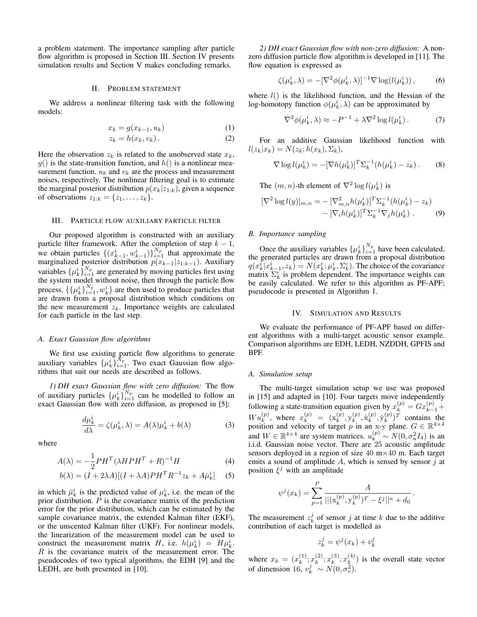a problem statement. The importance sampling after particle flow algorithm is proposed in Section III. Section IV presents simulation results and Section V makes concluding remarks.

## II. PROBLEM STATEMENT

We address a nonlinear filtering task with the following models:

$$
x_k = g(x_{k-1}, u_k) \tag{1}
$$

$$
z_k = h(x_k, v_k). \tag{2}
$$

Here the observation  $z_k$  is related to the unobserved state  $x_k$ ,  $g()$  is the state-transition function, and  $h()$  is a nonlinear measurement function.  $u_k$  and  $v_k$  are the process and measurement noises, respectively. The nonlinear filtering goal is to estimate the marginal posterior distribution  $p(x_k|z_{1:k})$ , given a sequence of observations  $z_{1:k} = \{z_1, \ldots, z_k\}.$ 

## III. PARTICLE FLOW AUXILIARY PARTICLE FILTER

Our proposed algorithm is constructed with an auxiliary particle filter framework. After the completion of step  $k - 1$ , we obtain particles  $\{(x_{k-1}^i, w_{k-1}^i)\}_{i=1}^{N_p}$  that approximate the marginalized posterior distribution  $p(x_{k-1}|z_{1:k-1})$ . Auxiliary variables  $\{\mu_k^i\}_{i=1}^{N_p}$  are generated by moving particles first using the system model without noise, then through the particle flow process.  $\{\{\mu_k^i\}_{i=1}^{N_p}, w_k^i\}$  are then used to produce particles that are drawn from a proposal distribution which conditions on the new measurement  $z_k$ . Importance weights are calculated for each particle in the last step.

## *A. Exact Gaussian flow algorithms*

We first use existing particle flow algorithms to generate auxiliary variables  $\{\mu_k^i\}_{i=1}^{N_p}$ . Two exact Gaussian flow algorithms that suit our needs are described as follows.

*1) DH exact Gaussian flow with zero diffusion:* The flow of auxiliary particles  $\{\mu_k^i\}_{i=1}^{N_p}$  can be modelled to follow an exact Gaussian flow with zero diffusion, as proposed in [5]:

$$
\frac{d\mu_k^i}{d\lambda} = \zeta(\mu_k^i, \lambda) = A(\lambda)\mu_k^i + b(\lambda)
$$
\n(3)

where

$$
A(\lambda) = -\frac{1}{2}PH^{T}(\lambda HPH^{T} + R)^{-1}H
$$
\n(4)

$$
b(\lambda) = (I + 2\lambda A)[(I + \lambda A)PHT R-1 zk + A\bar{\mu}^i_k]
$$
 (5)

in which  $\bar{\mu}_k^i$  is the predicted value of  $\mu_k^i$ , i.e. the mean of the prior distribution.  $P$  is the covariance matrix of the prediction error for the prior distribution, which can be estimated by the sample covariance matrix, the extended Kalman filter (EKF), or the unscented Kalman filter (UKF). For nonlinear models, the linearization of the measurement model can be used to construct the measurement matrix H, i.e.  $h(\mu_k^i) = H \mu_k^i$ .  $R$  is the covariance matrix of the measurement error. The pseudocodes of two typical algorithms, the EDH [9] and the LEDH, are both presented in [10].

*2) DH exact Gaussian flow with non-zero diffusion:* A nonzero diffusion particle flow algorithm is developed in [11]. The flow equation is expressed as

$$
\zeta(\mu_k^i, \lambda) = -[\nabla^2 \phi(\mu_k^i, \lambda)]^{-1} \nabla \log(l(\mu_k^i)), \quad (6)
$$

where  $l()$  is the likelihood function, and the Hessian of the log-homotopy function  $\phi(\mu_k^i, \lambda)$  can be approximated by

$$
\nabla^2 \phi(\mu_k^i, \lambda) \approx -P^{-1} + \lambda \nabla^2 \log l(\mu_k^i). \tag{7}
$$

For an additive Gaussian likelihood function with  $l(z_k|x_k) = N(z_k; h(x_k), \Sigma_k),$ 

$$
\nabla \log l(\mu_k^i) = -[\nabla h(\mu_k^i)]^T \Sigma_k^{-1} (h(\mu_k^i) - z_k). \tag{8}
$$

The  $(m, n)$ -th element of  $\nabla^2 \log l(\mu_k^i)$  is

$$
[\nabla^2 \log l(y)]_{m,n} = -[\nabla_{m,n}^2 h(\mu_k^i)]^T \Sigma_k^{-1} (h(\mu_k^i) - z_k) - [\nabla_i h(\mu_k^i)]^T \Sigma_k^{-1} \nabla_j h(\mu_k^i).
$$
 (9)

## *B. Importance sampling*

Once the auxiliary variables  $\{\mu_k^i\}_{i=1}^{N_p}$  have been calculated, the generated particles are drawn from a proposal distribution  $q(x_k^{\overline{i}} | x_{k-1}^i, z_k) = N(x_k^i; \mu_k^i, \Sigma_k^c)$ . The choice of the covariance matrix  $\Sigma_k^c$  is problem dependent. The importance weights can be easily calculated. We refer to this algorithm as PF-APF; pseudocode is presented in Algorithm 1.

## IV. SIMULATION AND RESULTS

We evaluate the performance of PF-APF based on different algorithms with a multi-target acoustic sensor example. Comparison algorithms are EDH, LEDH, NZDDH, GPFIS and BPF.

#### *A. Simulation setup*

The multi-target simulation setup we use was proposed in [15] and adapted in [10]. Four targets move independently following a state-transition equation given by  $x_k^{(p)} = Gx_{k-1}^{(p)} +$  $W u_k^{(p)}$ , where  $x_k^{(p)} = (x_k^{(p)}, y_k^{(p)})$  $_{k}^{\left( p\right) },\dot{\mathrm{x}}_{k}^{\left( p\right) }$  $_{k}^{(p)}, \dot{y}_{k}^{(p)}$  ${k \choose k}$ <sup>T</sup> contains the position and velocity of target p in an x-y plane.  $G \in \mathbb{R}^{4 \times 4}$ and  $W \in \mathbb{R}^{4 \times 4}$  are system matrices.  $u_k^{(p)} \sim N(0, \sigma_u^2 I_4)$  is an i.i.d. Gaussian noise vector. There are 25 acoustic amplitude sensors deployed in a region of size 40 m×40 m. Each target emits a sound of amplitude  $A$ , which is sensed by sensor  $j$  at position  $\xi^j$  with an amplitude

$$
\psi^{j}(x_{k}) = \sum_{p=1}^{P} \frac{A}{||(\mathbf{x}_{k}^{(p)}, \mathbf{y}_{k}^{(p)})^{T} - \xi^{j}||^{\kappa} + d_{0}}.
$$

The measurement  $z_k^j$  of sensor j at time k due to the additive contribution of each target is modelled as

$$
z_k^j = \psi^j(x_k) + v_k^j
$$

where  $x_k = (x_k^{(1)})$  $x_k^{(1)}$ ;  $x_k^{(2)}$  $\binom{(2)}{k}; x_k^{(3)}$  $k^{(3)}$ ;  $x_k^{(4)}$  $\binom{4}{k}$  is the overall state vector of dimension 16,  $v_k^j \sim N(0, \sigma_v^2)$ .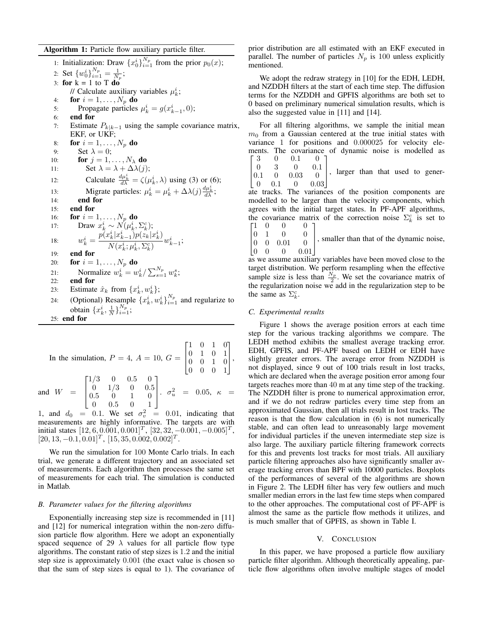## Algorithm 1: Particle flow auxiliary particle filter.

1: Initialization: Draw  $\{x_0^i\}_{i=1}^{N_p}$  from the prior  $p_0(x)$ ; 2: Set  ${w_0^i}_{i=1}^{N_p} = \frac{1}{N_p};$ 3: for  $k = 1$  to T do<sup>2</sup> // Calculate auxiliary variables  $\mu_k^i$ ; 4: for  $i = 1, \ldots, N_p$  do 5: Propagate particles  $\mu_k^i = g(x_{k-1}^i, 0)$ ; 6: end for 7: Estimate  $P_{k|k-1}$  using the sample covariance matrix, EKF, or UKF; 8: **for**  $i = 1, \ldots, N_p$  **do** 9: Set  $\lambda = 0$ ; 10: **for**  $j = 1, \ldots, N_\lambda$  **do** 11: Set  $\lambda = \lambda + \Delta \lambda(j);$ 12: Calculate  $\frac{d\mu_k^i}{d\lambda} = \zeta(\mu_k^i, \lambda)$  using (3) or (6); 13: Migrate particles:  $\mu_k^i = \mu_k^i + \Delta \lambda(j) \frac{d\mu_k^i}{d\lambda};$ 14: end for 15: end for 16: **for**  $i = 1, ..., N_p$  **do** 17: Draw  $x_k^i \sim N(\mu_k^i, \Sigma_k^c);$ 18:  $w_k^i = \frac{p(x_k^i|x_{k-1}^i)p(x_k|x_k^i)}{N(x^i; \mu^i \sum c)}$  $\frac{N(x_k^i; \mu_k^i, \Sigma_k^c)}{N(x_k^i; \mu_k^i, \Sigma_k^c)} w_{k-1}^i;$ 19: end for 20: **for**  $i = 1, \ldots, N_p$  do 21: Normalize  $w_k^i = w_k^i / \sum_{s=1}^{N_p} w_k^s$ ; 22: end for 23: Estimate  $\hat{x}_k$  from  $\{x_k^i, w_k^i\};$ 24: (Optional) Resample  $\{x_k^i, w_k^i\}_{i=1}^{N_p}$  and regularize to obtain  $\{x_k^i, \frac{1}{N}\}_{i=1}^{N_p}$ ; 25: end for

In the simulation,  $P = 4$ ,  $A = 10$ ,  $G =$  $\lceil$  $\overline{\phantom{a}}$ 1 0 1 0 0 1 0 1 0 0 1 0 0 0 0 1 1  $\vert \cdot$ and  $W =$  $\lceil$  $\overline{\phantom{a}}$ 1/3 0 0.5 0  $0 \t1/3 \t0 \t0.5$ 0.5 0 1 0 1  $\Big\vert \cdot \ \sigma^2_u \ = \ 0.05, \ \kappa \ =$ 

0 0.5 0 1 1, and  $d_0 = 0.1$ . We set  $\sigma_v^2 = 0.01$ , indicating that measurements are highly informative. The targets are with initial states  $[12, 6, 0.001, 0.001]^T$ ,  $[32, 32, -0.001, -0.005]^T$ ,  $[20, 13, -0.1, 0.01]^T$ ,  $[15, 35, 0.002, 0.002]^T$ .

We run the simulation for 100 Monte Carlo trials. In each trial, we generate a different trajectory and an associated set of measurements. Each algorithm then processes the same set of measurements for each trial. The simulation is conducted in Matlab.

## *B. Parameter values for the filtering algorithms*

Exponentially increasing step size is recommended in [11] and [12] for numerical integration within the non-zero diffusion particle flow algorithm. Here we adopt an exponentially spaced sequence of 29  $\lambda$  values for all particle flow type algorithms. The constant ratio of step sizes is 1.2 and the initial step size is approximately 0.001 (the exact value is chosen so that the sum of step sizes is equal to 1). The covariance of prior distribution are all estimated with an EKF executed in parallel. The number of particles  $N_p$  is 100 unless explicitly mentioned.

We adopt the redraw strategy in [10] for the EDH, LEDH, and NZDDH filters at the start of each time step. The diffusion terms for the NZDDH and GPFIS algorithms are both set to 0 based on preliminary numerical simulation results, which is also the suggested value in [11] and [14].

For all filtering algorithms, we sample the initial mean  $m<sub>0</sub>$  from a Gaussian centered at the true initial states with variance 1 for positions and 0.000025 for velocity elements. The covariance of dynamic noise is modelled as  $\begin{bmatrix} 3 & 0 & 0.1 & 0 \end{bmatrix}$  $\lceil$  $0.1$ 1

$$
\begin{array}{cccc}\n0 & 3 & 0 & 0.1 \\
0 & 3 & 0 & 0.1\n\end{array}
$$

 $\Big\}$ 

 $\begin{bmatrix} 0 & 3 & 0 & 0.1 \\ 0 & 0.03 & 0 \\ 0 & 0.03 & 0 \end{bmatrix}$ , larger than that used to gener- $0 \t 0.03$  $\begin{bmatrix} 0 & 0.1 & 0 & 0.03 \end{bmatrix}$ 

ate tracks. The variances of the position components are modelled to be larger than the velocity components, which agrees with the initial target states. In PF-APF algorithms, the covariance matrix of the correction noise  $\Sigma_k^c$  is set to  $\begin{bmatrix} 1 & 0 & 0 & 0 \end{bmatrix}$ 1

 $\begin{bmatrix} 0 & 0 & 0.01 & 0 \\ 0 & 0 & 0.01 & 0 \\ 0 & 0 & 0 & 0.01 \end{bmatrix}$  $\begin{array}{cccc} 0 & 1 & 0 & 0 \end{array}$  $\begin{bmatrix} 0 & 0 & 0 & 0.01 \end{bmatrix}$ , smaller than that of the dynamic noise,

as we assume auxiliary variables have been moved close to the target distribution. We perform resampling when the effective sample size is less than  $\frac{N_p}{2}$ . We set the covariance matrix of the regularization noise we add in the regularization step to be the same as  $\Sigma_k^c$ .

## *C. Experimental results*

Figure 1 shows the average position errors at each time step for the various tracking algorithms we compare. The LEDH method exhibits the smallest average tracking error. EDH, GPFIS, and PF-APF based on LEDH or EDH have slightly greater errors. The average error from NZDDH is not displayed, since 9 out of 100 trials result in lost tracks, which are declared when the average position error among four targets reaches more than 40 m at any time step of the tracking. The NZDDH filter is prone to numerical approximation error, and if we do not redraw particles every time step from an approximated Gaussian, then all trials result in lost tracks. The reason is that the flow calculation in (6) is not numerically stable, and can often lead to unreasonably large movement for individual particles if the uneven intermediate step size is also large. The auxiliary particle filtering framework corrects for this and prevents lost tracks for most trials. All auxiliary particle filtering approaches also have significantly smaller average tracking errors than BPF with 10000 particles. Boxplots of the performances of several of the algorithms are shown in Figure 2. The LEDH filter has very few outliers and much smaller median errors in the last few time steps when compared to the other approaches. The computational cost of PF-APF is almost the same as the particle flow methods it utilizes, and is much smaller that of GPFIS, as shown in Table I.

## V. CONCLUSION

In this paper, we have proposed a particle flow auxiliary particle filter algorithm. Although theoretically appealing, particle flow algorithms often involve multiple stages of model